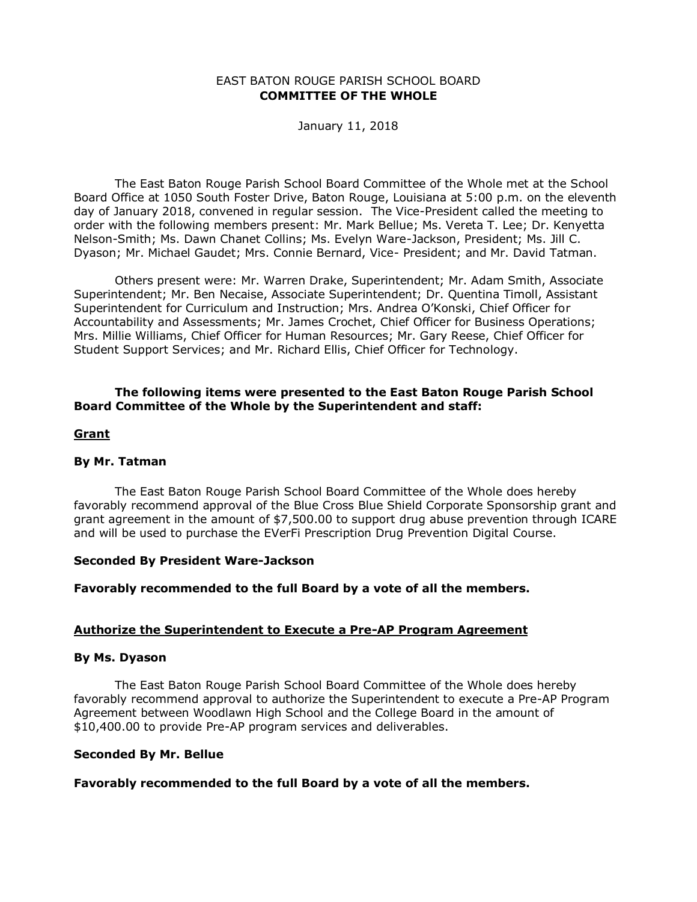### EAST BATON ROUGE PARISH SCHOOL BOARD **COMMITTEE OF THE WHOLE**

### January 11, 2018

The East Baton Rouge Parish School Board Committee of the Whole met at the School Board Office at 1050 South Foster Drive, Baton Rouge, Louisiana at 5:00 p.m. on the eleventh day of January 2018, convened in regular session. The Vice-President called the meeting to order with the following members present: Mr. Mark Bellue; Ms. Vereta T. Lee; Dr. Kenyetta Nelson-Smith; Ms. Dawn Chanet Collins; Ms. Evelyn Ware-Jackson, President; Ms. Jill C. Dyason; Mr. Michael Gaudet; Mrs. Connie Bernard, Vice- President; and Mr. David Tatman.

Others present were: Mr. Warren Drake, Superintendent; Mr. Adam Smith, Associate Superintendent; Mr. Ben Necaise, Associate Superintendent; Dr. Quentina Timoll, Assistant Superintendent for Curriculum and Instruction; Mrs. Andrea O'Konski, Chief Officer for Accountability and Assessments; Mr. James Crochet, Chief Officer for Business Operations; Mrs. Millie Williams, Chief Officer for Human Resources; Mr. Gary Reese, Chief Officer for Student Support Services; and Mr. Richard Ellis, Chief Officer for Technology.

# **The following items were presented to the East Baton Rouge Parish School Board Committee of the Whole by the Superintendent and staff:**

### **Grant**

# **By Mr. Tatman**

The East Baton Rouge Parish School Board Committee of the Whole does hereby favorably recommend approval of the Blue Cross Blue Shield Corporate Sponsorship grant and grant agreement in the amount of \$7,500.00 to support drug abuse prevention through ICARE and will be used to purchase the EVerFi Prescription Drug Prevention Digital Course.

### **Seconded By President Ware-Jackson**

### **Favorably recommended to the full Board by a vote of all the members.**

# **Authorize the Superintendent to Execute a Pre-AP Program Agreement**

### **By Ms. Dyason**

The East Baton Rouge Parish School Board Committee of the Whole does hereby favorably recommend approval to authorize the Superintendent to execute a Pre-AP Program Agreement between Woodlawn High School and the College Board in the amount of \$10,400.00 to provide Pre-AP program services and deliverables.

### **Seconded By Mr. Bellue**

# **Favorably recommended to the full Board by a vote of all the members.**